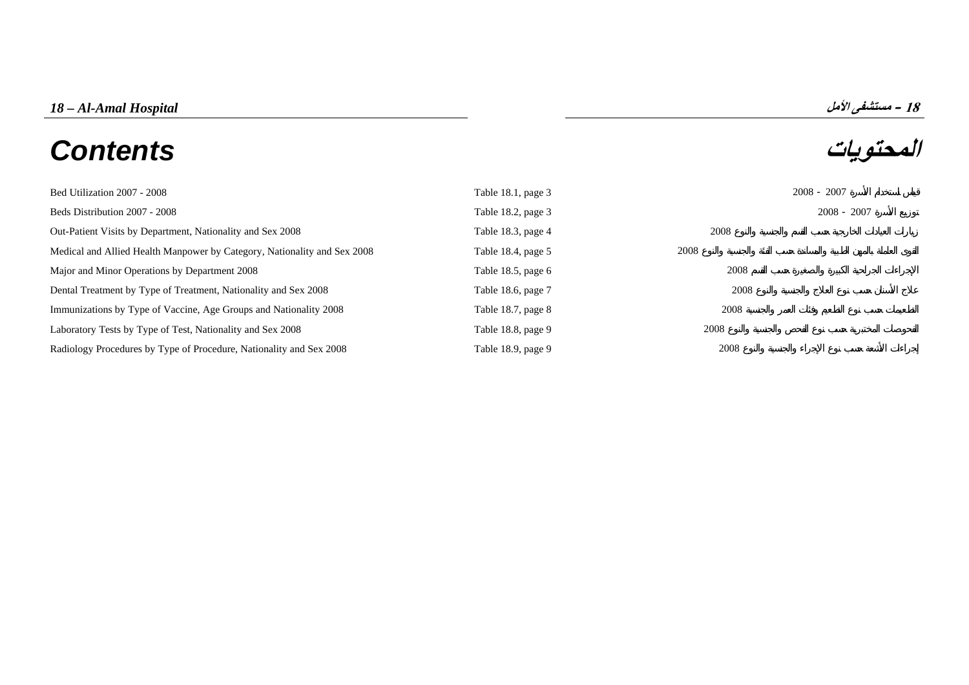# *18 – Al-Amal Hospital* **الأمل مستشفى – <sup>18</sup> المحتويات** *Contents*

| Bed Utilization 2007 - 2008                                              | Table $18.1$ , page 3 |      | $2008 - 2007$ |
|--------------------------------------------------------------------------|-----------------------|------|---------------|
| Beds Distribution 2007 - 2008                                            | Table 18.2, page $3$  |      | $2008 - 2007$ |
| Out-Patient Visits by Department, Nationality and Sex 2008               | Table 18.3, page 4    | 2008 |               |
| Medical and Allied Health Manpower by Category, Nationality and Sex 2008 | Table 18.4, page 5    | 2008 |               |
| Major and Minor Operations by Department 2008                            | Table 18.5, page $6$  | 2008 |               |
| Dental Treatment by Type of Treatment, Nationality and Sex 2008          | Table 18.6, page 7    | 2008 |               |
| Immunizations by Type of Vaccine, Age Groups and Nationality 2008        | Table 18.7, page $8$  | 2008 |               |
| Laboratory Tests by Type of Test, Nationality and Sex 2008               | Table 18.8, page 9    | 2008 |               |
| Radiology Procedures by Type of Procedure, Nationality and Sex 2008      | Table 18.9, page 9    | 2008 |               |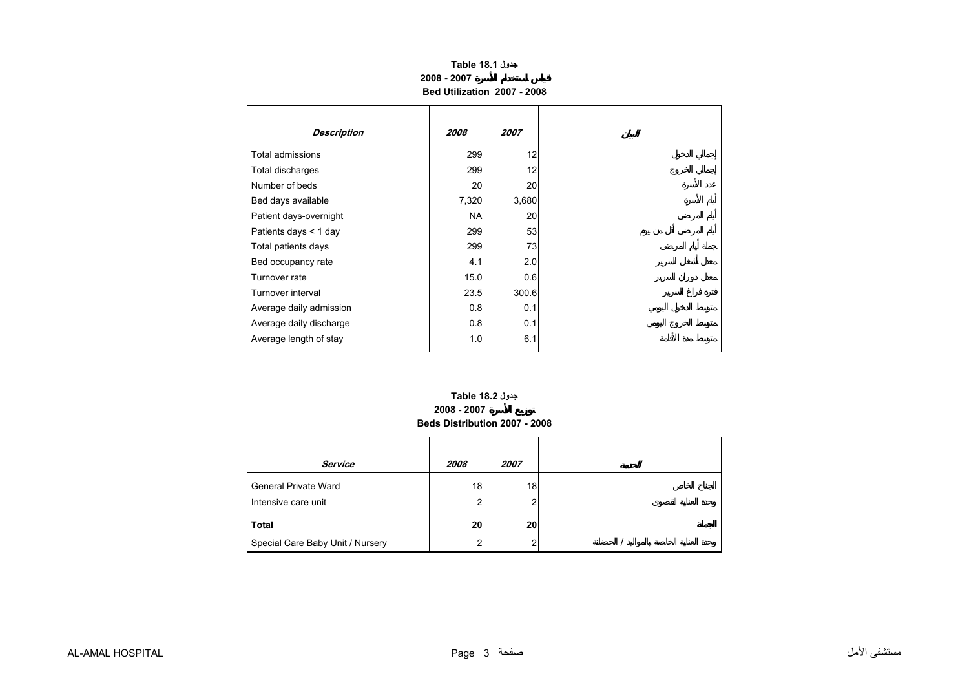## **جدول 18.1 Table 2008 - 2007Bed Utilization 2007 - 2008**

<span id="page-2-0"></span>

| <b>Description</b>      | 2008      | 2007  |
|-------------------------|-----------|-------|
| <b>Total admissions</b> | 299       | 12    |
| Total discharges        | 299       | 12    |
| Number of beds          | 20        | 20    |
| Bed days available      | 7,320     | 3,680 |
| Patient days-overnight  | <b>NA</b> | 20    |
| Patients days $<$ 1 day | 299       | 53    |
| Total patients days     | 299       | 73    |
| Bed occupancy rate      | 4.1       | 2.0   |
| Turnover rate           | 15.0      | 0.6   |
| Turnover interval       | 23.5      | 300.6 |
| Average daily admission | 0.8       | 0.1   |
| Average daily discharge | 0.8       | 0.1   |
| Average length of stay  | 1.0       | 6.1   |

### **2008 - 2007 Beds Distribution 2007 - 2008 جدول 18.2 Table**

| Service                          | 2008            | 2007 |  |
|----------------------------------|-----------------|------|--|
| <b>General Private Ward</b>      | 18              | 18   |  |
| Intensive care unit              | 2               |      |  |
| Total                            | 20 <sub>l</sub> | 20   |  |
| Special Care Baby Unit / Nursery |                 |      |  |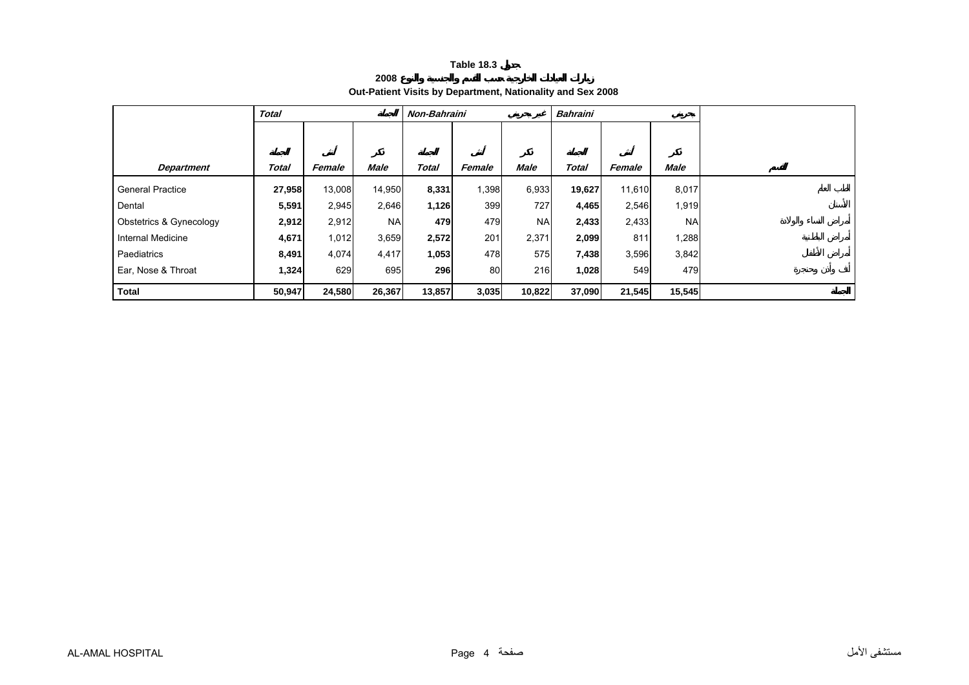**2008**

## **Out-Patient Visits by Department, Nationality and Sex 2008**

<span id="page-3-0"></span>

|                         | <b>Total</b> |        |           | Non-Bahraini |        |             | <b>Bahraini</b> |        |           |  |
|-------------------------|--------------|--------|-----------|--------------|--------|-------------|-----------------|--------|-----------|--|
|                         |              |        |           |              |        |             |                 |        |           |  |
|                         |              |        |           |              |        |             |                 |        |           |  |
| <b>Department</b>       | Total        | Female | Male      | Total        | Female | <b>Male</b> | Total           | Female | Male      |  |
| <b>General Practice</b> | 27,958       | 13,008 | 14,950    | 8,331        | 1,398  | 6,933       | 19,627          | 11,610 | 8,017     |  |
| Dental                  | 5,591        | 2,945  | 2,646     | 1,126        | 399    | 727         | 4,465           | 2,546  | 1,919     |  |
| Obstetrics & Gynecology | 2,912        | 2,912  | <b>NA</b> | 479          | 479    | <b>NA</b>   | 2,433           | 2,433  | <b>NA</b> |  |
| Internal Medicine       | 4,671        | 1,012  | 3,659     | 2,572        | 201    | 2,371       | 2,099           | 811    | 1,288     |  |
| Paediatrics             | 8,491        | 4,074  | 4,417     | 1,053        | 478    | 575         | 7,438           | 3,596  | 3,842     |  |
| Ear, Nose & Throat      | 1,324        | 629    | 695       | 296          | 80     | 216         | 1,028           | 549    | 479       |  |
| <b>Total</b>            | 50,947       | 24,580 | 26,367    | 13,857       | 3,035  | 10,822      | 37,090          | 21,545 | 15,545    |  |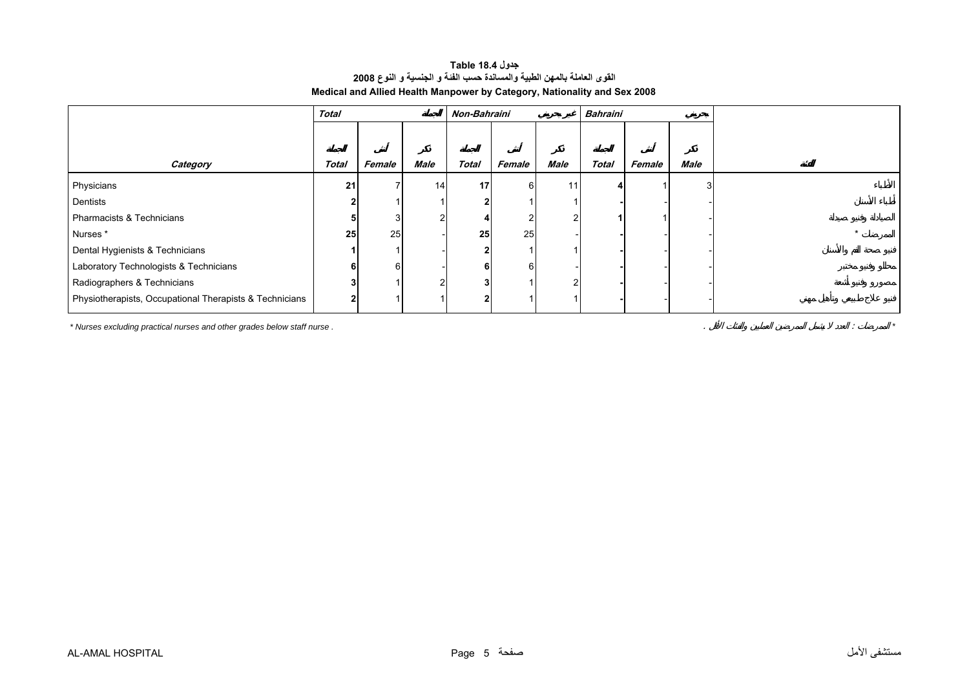### **جدول 18.4 Table القوى العاملة بالمهن الطبية والمساندة حسب الفئة <sup>و</sup> الجنسية <sup>و</sup> النوع <sup>2008</sup> Medical and Allied Health Manpower by Category, Nationality and Sex 2008**

<span id="page-4-0"></span>

|                                                         | <b>Total</b> |        |      | Non-Bahraini |        |      | <b>Bahraini</b> |        |      |  |
|---------------------------------------------------------|--------------|--------|------|--------------|--------|------|-----------------|--------|------|--|
|                                                         |              |        |      |              |        |      |                 |        |      |  |
| Category                                                | <b>Total</b> | Female | Male | <b>Total</b> | Female | Male | <b>Total</b>    | Female | Male |  |
| Physicians                                              | 21           |        | 14   | 17           | 6      |      |                 |        |      |  |
| Dentists                                                |              |        |      |              |        |      |                 |        |      |  |
| Pharmacists & Technicians                               |              |        |      |              |        |      |                 |        |      |  |
| Nurses *                                                | 25           | 25     |      | 25           | 25     |      |                 |        |      |  |
| Dental Hygienists & Technicians                         |              |        |      |              |        |      |                 |        |      |  |
| Laboratory Technologists & Technicians                  |              | 61     |      | 61           | 6      |      |                 |        |      |  |
| Radiographers & Technicians                             |              |        |      |              |        | ົ    |                 |        |      |  |
| Physiotherapists, Occupational Therapists & Technicians |              |        |      |              |        |      |                 |        |      |  |

*\* Nurses excluding practical nurses and other grades below staff nurse .* . : *\**

AL-AMAL HOSPITAL Page 5 صفحة الأمل مستشفى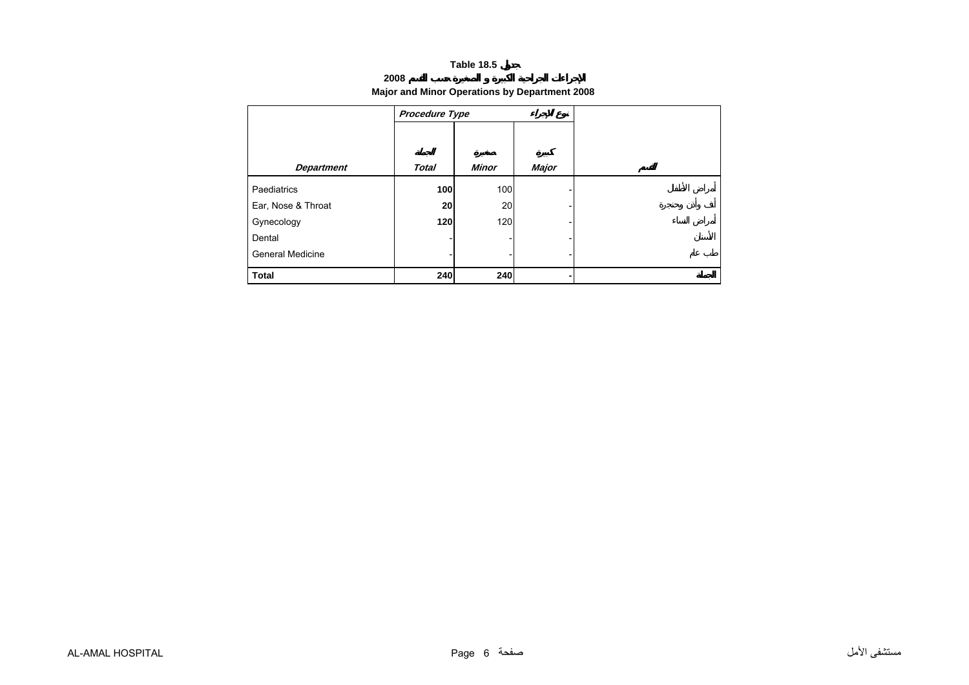### **2008**

### **Major and Minor Operations by Department 2008**

<span id="page-5-0"></span>

|                         | Procedure Type |              |       |  |
|-------------------------|----------------|--------------|-------|--|
|                         |                |              |       |  |
| <b>Department</b>       | <b>Total</b>   | <b>Minor</b> | Major |  |
| Paediatrics             | 100            | 100          |       |  |
| Ear, Nose & Throat      | 20             | 20           |       |  |
| Gynecology              | 120            | 120          |       |  |
| Dental                  |                |              |       |  |
| <b>General Medicine</b> |                |              |       |  |
| <b>Total</b>            | 240            | 240          |       |  |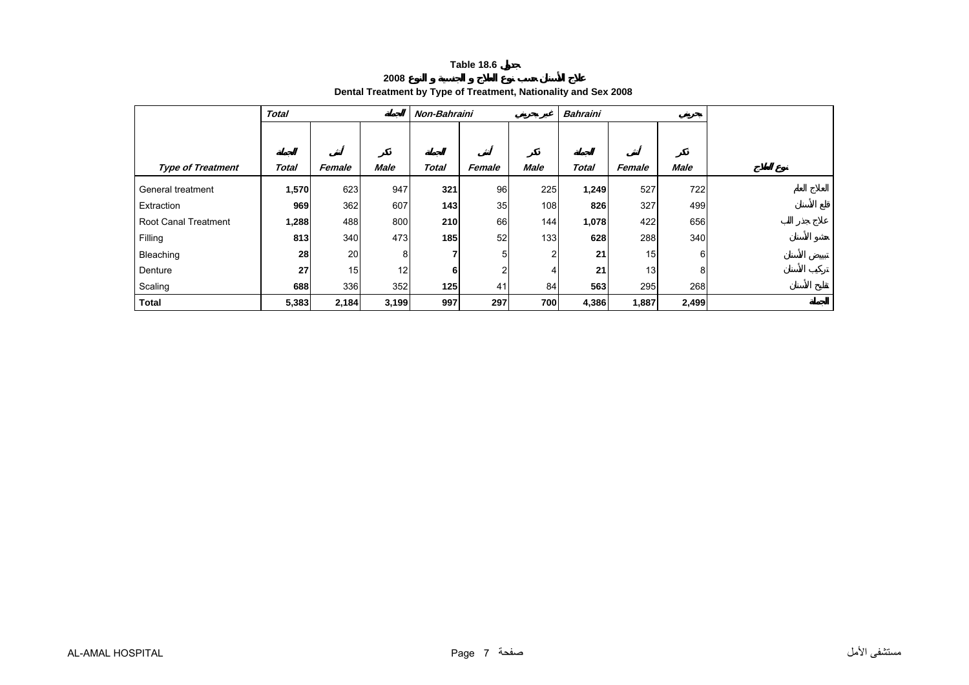**2008**

## **Dental Treatment by Type of Treatment, Nationality and Sex 2008**

<span id="page-6-0"></span>

|                             | <b>Total</b> |                 |             | Non-Bahraini |        |             | <b>Bahraini</b> |        |                |  |
|-----------------------------|--------------|-----------------|-------------|--------------|--------|-------------|-----------------|--------|----------------|--|
|                             |              |                 |             |              |        |             |                 |        |                |  |
|                             |              |                 |             |              |        |             |                 |        |                |  |
| <b>Type of Treatment</b>    | Total        | Female          | <b>Male</b> | <b>Total</b> | Female | <b>Male</b> | <b>Total</b>    | Female | <b>Male</b>    |  |
| General treatment           | 1,570        | 623             | 947         | 321          | 96     | 225         | 1,249           | 527    | 722            |  |
| Extraction                  | 969          | 362             | 607         | $143$        | 35     | 108         | 826             | 327    | 499            |  |
| <b>Root Canal Treatment</b> | 1,288        | 488             | 800         | 210          | 66     | 144         | 1,078           | 422    | 656            |  |
| Filling                     | 813          | 340             | 473         | 185          | 52     | 133         | 628             | 288    | 340            |  |
| Bleaching                   | 28           | <b>20</b>       | 8           |              | 5      | 2           | 21              | 15     | $6 \mid$       |  |
| Denture                     | 27           | 15 <sub>l</sub> | 12          | 6            | 2      | 4           | 21              | 13     | 8 <sup>1</sup> |  |
| Scaling                     | 688          | 336             | 352         | 125          | 41     | 84          | 563             | 295    | 268            |  |
| <b>Total</b>                | 5,383        | 2,184           | 3,199       | 997          | 297    | 700         | 4,386           | 1,887  | 2,499          |  |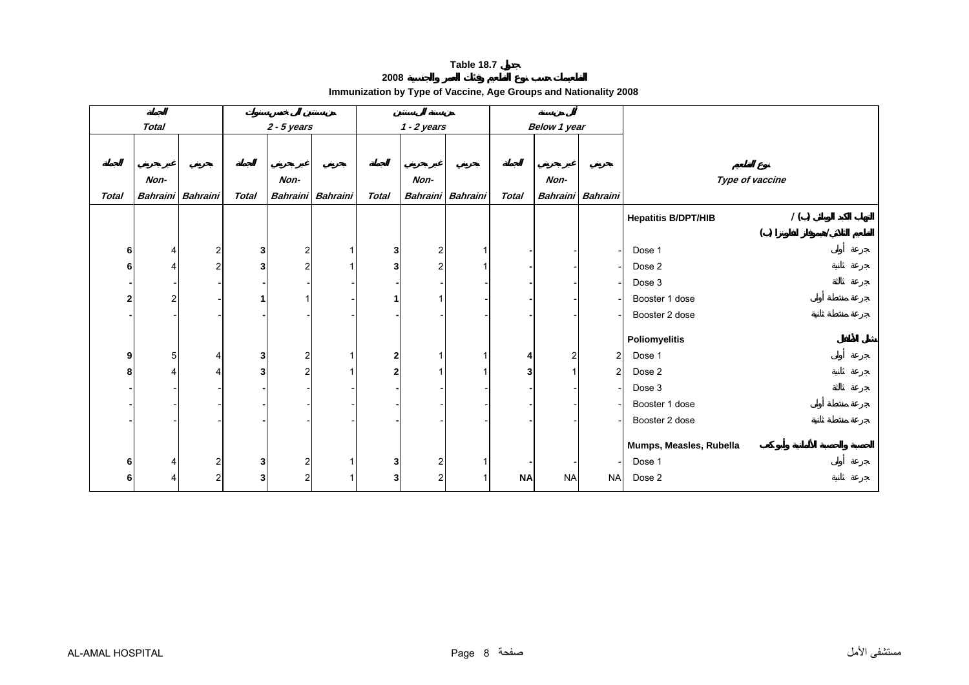**2008**

<span id="page-7-0"></span>

|                         | <b>Total</b>   |                         |                | $2 - 5$ years   |                 |                | $1 - 2$ years  |                   | Below 1 year |                |                   |                                   |
|-------------------------|----------------|-------------------------|----------------|-----------------|-----------------|----------------|----------------|-------------------|--------------|----------------|-------------------|-----------------------------------|
|                         |                |                         |                |                 |                 |                |                |                   |              |                |                   |                                   |
|                         | Non-           |                         |                | Non-            |                 |                | Non-           |                   |              | Non-           |                   | Type of vaccine                   |
| <b>Total</b>            |                | Bahraini Bahraini       | <b>Total</b>   | <b>Bahraini</b> | <b>Bahraini</b> | <b>Total</b>   |                | Bahraini Bahraini | <b>Total</b> |                | Bahraini Bahraini |                                   |
|                         |                |                         |                |                 |                 |                |                |                   |              |                |                   | 1()<br><b>Hepatitis B/DPT/HIB</b> |
|                         |                |                         |                |                 |                 |                |                |                   |              |                |                   | ( )                               |
| 6                       | $\frac{4}{ }$  | $\mathbf{2}$            | 3 <sub>l</sub> | $\overline{2}$  |                 | 3              | $\overline{2}$ | 1                 |              |                |                   | Dose 1                            |
| 6                       | 4              | $\overline{a}$          | 3              | $\overline{2}$  |                 | 3              | 2              |                   |              |                |                   | Dose 2                            |
|                         |                |                         |                |                 |                 |                |                |                   |              |                |                   | Dose 3                            |
| $\overline{\mathbf{2}}$ | $\mathcal{P}$  |                         |                |                 |                 |                |                |                   |              |                |                   | Booster 1 dose                    |
|                         |                |                         |                |                 |                 |                |                |                   |              |                |                   | Booster 2 dose                    |
|                         |                |                         |                |                 |                 |                |                |                   |              |                |                   | Poliomyelitis                     |
| 9                       | 5 <sup>1</sup> | 4                       | 3              | 2               |                 | $\overline{2}$ |                |                   | 4            | $\overline{2}$ | $\overline{c}$    | Dose 1                            |
| 8                       | 4              | 4                       | 3              | $\mathfrak{p}$  |                 | $\mathbf{2}$   |                |                   | 3            |                | $\overline{2}$    | Dose 2                            |
|                         |                |                         |                |                 |                 |                |                |                   |              |                |                   | Dose 3                            |
|                         |                |                         |                |                 |                 |                |                |                   |              |                |                   | Booster 1 dose                    |
|                         |                |                         |                |                 |                 |                |                |                   |              |                |                   | Booster 2 dose                    |
|                         |                |                         |                |                 |                 |                |                |                   |              |                |                   |                                   |
|                         |                |                         |                |                 |                 |                |                |                   |              |                |                   | Mumps, Measles, Rubella           |
| 6                       | 4              | $\mathbf{2}$            | 3              | $\overline{c}$  |                 | 3              | 2              |                   |              |                |                   | Dose 1                            |
| 6                       | $\overline{4}$ | $\overline{\mathbf{c}}$ | $\mathbf{3}$   | $\overline{2}$  |                 | 3              | 2              |                   | <b>NA</b>    | <b>NA</b>      | <b>NA</b>         | Dose 2                            |